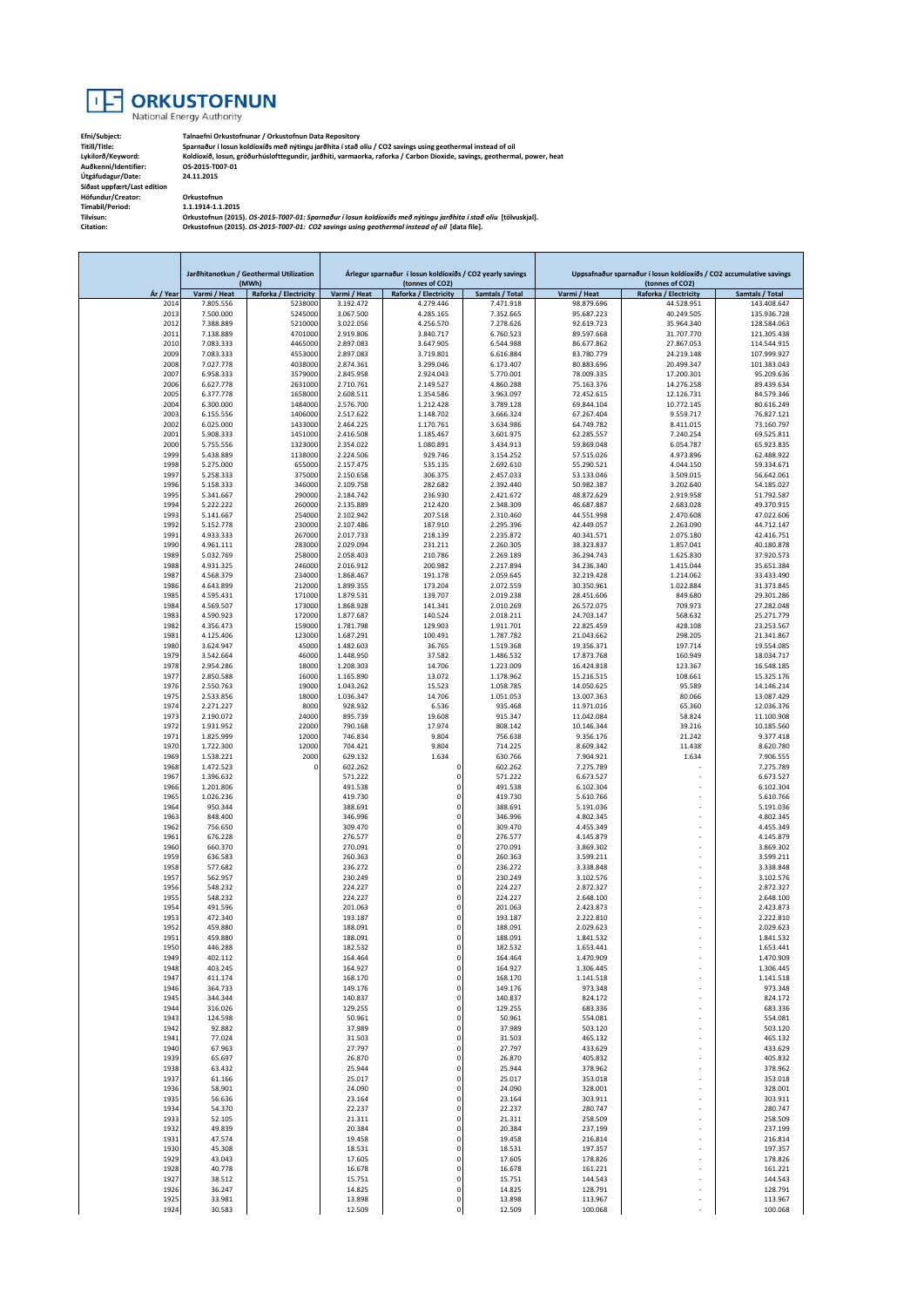

**Efni/Subject: Talnaefni Orkustofnunar / Orkustofnun Data Repository Titill/Title: Sparnaður í losun koldíoxíðs með nýtingu jarðhita í stað olíu / CO2 savings using geothermal instead of oil Lykilorð/Keyword: Koldíoxíð, losun, gróðurhúslofttegundir, jarðhiti, varmaorka, raforka / Carbon Dioxide, savings, geothermal, power, heat**

**Auðkenni/Identifier: OS-2015-T007-01 Útgáfudagur/Date: 24.11.2015 Síðast uppfært/Last edition Höfundur/Creator: Orkustofnun Tímabil/Period: 1.1.1914-1.1.2015**

**Tilvísun: Orkustofnun (2015).** *OS-2015-T007-01: Sparnaður í losun koldíoxíðs með nýtingu jarðhita í stað olíu* **[tölvuskjal]. Citation: Orkustofnun (2015).** *OS-2015-T007-01: CO2 savings using geothermal instead of oil* **[data file].**

|              | Jarðhitanotkun / Geothermal Utilization |                       | Árlegur sparnaður í losun koldíoxíðs / CO2 yearly savings |                            |                        | Uppsafnaður sparnaður í losun koldíoxíðs / CO2 accumulative savings |                                                                                                |                            |
|--------------|-----------------------------------------|-----------------------|-----------------------------------------------------------|----------------------------|------------------------|---------------------------------------------------------------------|------------------------------------------------------------------------------------------------|----------------------------|
|              |                                         | (MWh)                 |                                                           | (tonnes of CO2)            |                        |                                                                     | (tonnes of CO2)                                                                                |                            |
| Ár / Year    | Varmi / Heat                            | Raforka / Electricity | Varmi / Heat                                              | Raforka / Electricity      | Samtals / Total        | Varmi / Heat                                                        | Raforka / Electricity                                                                          | Samtals / Total            |
| 2014<br>2013 | 7.805.556                               | 5238000<br>5245000    | 3.192.472                                                 | 4.279.446<br>4.285.165     | 7.471.918              | 98.879.696                                                          | 44.528.951<br>40.249.505                                                                       | 143.408.647<br>135.936.728 |
| 2012         | 7.500.000<br>7.388.889                  | 5210000               | 3.067.500<br>3.022.056                                    | 4.256.570                  | 7.352.665<br>7.278.626 | 95.687.223<br>92.619.723                                            | 35.964.340                                                                                     | 128.584.063                |
| 2011         | 7.138.889                               | 4701000               | 2.919.806                                                 | 3.840.717                  | 6.760.523              | 89.597.668                                                          | 31.707.770                                                                                     | 121.305.438                |
| 2010         | 7.083.333                               | 4465000               | 2.897.083                                                 | 3.647.905                  | 6.544.988              | 86.677.862                                                          | 27.867.053                                                                                     | 114.544.915                |
| 2009         | 7.083.333                               | 4553000               | 2.897.083                                                 | 3.719.801                  | 6.616.884              | 83.780.779                                                          | 24.219.148                                                                                     | 107.999.927                |
| 2008         | 7.027.778                               | 4038000               | 2.874.361                                                 | 3.299.046                  | 6.173.407              | 80.883.696                                                          | 20.499.347                                                                                     | 101.383.043                |
| 2007         | 6.958.333                               | 3579000               | 2.845.958                                                 | 2.924.043                  | 5.770.001              | 78.009.335                                                          | 17.200.301                                                                                     | 95.209.636                 |
| 2006         | 6.627.778                               | 2631000               | 2.710.761                                                 | 2.149.527                  | 4.860.288              | 75.163.376                                                          | 14.276.258                                                                                     | 89.439.634                 |
| 2005<br>2004 | 6.377.778<br>6.300.000                  | 1658000<br>1484000    | 2.608.511<br>2.576.700                                    | 1.354.586<br>1.212.428     | 3.963.097<br>3.789.128 | 72.452.615<br>69.844.104                                            | 12.126.731<br>10.772.145                                                                       | 84.579.346<br>80.616.249   |
| 2003         | 6.155.556                               | 1406000               | 2.517.622                                                 | 1.148.702                  | 3.666.324              | 67.267.404                                                          | 9.559.717                                                                                      | 76.827.121                 |
| 2002         | 6.025.000                               | 1433000               | 2.464.225                                                 | 1.170.761                  | 3.634.986              | 64.749.782                                                          | 8.411.015                                                                                      | 73.160.797                 |
| 2001         | 5.908.333                               | 1451000               | 2.416.508                                                 | 1.185.467                  | 3.601.975              | 62.285.557                                                          | 7.240.254                                                                                      | 69.525.811                 |
| 2000         | 5.755.556                               | 1323000               | 2.354.022                                                 | 1.080.891                  | 3.434.913              | 59.869.048                                                          | 6.054.787                                                                                      | 65.923.835                 |
| 1999         | 5.438.889                               | 1138000               | 2.224.506                                                 | 929.746                    | 3.154.252              | 57.515.026                                                          | 4.973.896                                                                                      | 62.488.922                 |
| 1998         | 5.275.000                               | 655000                | 2.157.475                                                 | 535.135                    | 2.692.610              | 55.290.521                                                          | 4.044.150                                                                                      | 59.334.671                 |
| 1997<br>1996 | 5.258.333<br>5.158.333                  | 375000<br>346000      | 2.150.658<br>2.109.758                                    | 306.375<br>282.682         | 2.457.033<br>2.392.440 | 53.133.046<br>50.982.387                                            | 3.509.015<br>3.202.640                                                                         | 56.642.061<br>54.185.027   |
| 1995         | 5.341.667                               | 290000                | 2.184.742                                                 | 236.930                    | 2.421.672              | 48.872.629                                                          | 2.919.958                                                                                      | 51.792.587                 |
| 1994         | 5.222.222                               | 260000                | 2.135.889                                                 | 212.420                    | 2.348.309              | 46.687.887                                                          | 2.683.028                                                                                      | 49.370.915                 |
| 1993         | 5.141.667                               | 254000                | 2.102.942                                                 | 207.518                    | 2.310.460              | 44.551.998                                                          | 2.470.608                                                                                      | 47.022.606                 |
| 1992         | 5.152.778                               | 230000                | 2.107.486                                                 | 187.910                    | 2.295.396              | 42.449.057                                                          | 2.263.090                                                                                      | 44.712.147                 |
| 1991         | 4.933.333                               | 267000                | 2.017.733                                                 | 218.139                    | 2.235.872              | 40.341.571                                                          | 2.075.180                                                                                      | 42.416.751                 |
| 1990         | 4.961.111                               | 283000                | 2.029.094                                                 | 231.211                    | 2.260.305              | 38.323.837                                                          | 1.857.041                                                                                      | 40.180.878                 |
| 1989<br>1988 | 5.032.769<br>4.931.325                  | 258000<br>246000      | 2.058.403<br>2.016.912                                    | 210.786<br>200.982         | 2.269.189<br>2.217.894 | 36.294.743<br>34.236.340                                            | 1.625.830<br>1.415.044                                                                         | 37.920.573<br>35.651.384   |
| 1987         | 4.568.379                               | 234000                | 1.868.467                                                 | 191.178                    | 2.059.645              | 32.219.428                                                          | 1.214.062                                                                                      | 33.433.490                 |
| 1986         | 4.643.899                               | 212000                | 1.899.355                                                 | 173.204                    | 2.072.559              | 30.350.961                                                          | 1.022.884                                                                                      | 31.373.845                 |
| 1985         | 4.595.431                               | 171000                | 1.879.531                                                 | 139.707                    | 2.019.238              | 28.451.606                                                          | 849.680                                                                                        | 29.301.286                 |
| 1984         | 4.569.507                               | 173000                | 1.868.928                                                 | 141.341                    | 2.010.269              | 26.572.075                                                          | 709.973                                                                                        | 27.282.048                 |
| 1983         | 4.590.923                               | 172000                | 1.877.687                                                 | 140.524                    | 2.018.211              | 24.703.147                                                          | 568.632                                                                                        | 25.271.779                 |
| 1982         | 4.356.473                               | 159000                | 1.781.798                                                 | 129,903                    | 1.911.701              | 22.825.459                                                          | 428.108                                                                                        | 23.253.567                 |
| 1981         | 4.125.406                               | 123000                | 1.687.291<br>1.482.603                                    | 100.491                    | 1.787.782<br>1.519.368 | 21.043.662                                                          | 298.205                                                                                        | 21.341.867                 |
| 1980<br>1979 | 3.624.947<br>3.542.664                  | 45000<br>46000        | 1.448.950                                                 | 36.765<br>37.582           | 1.486.532              | 19.356.371<br>17.873.768                                            | 197.714<br>160.949                                                                             | 19.554.085<br>18.034.717   |
| 1978         | 2.954.286                               | 18000                 | 1.208.303                                                 | 14.706                     | 1.223.009              | 16.424.818                                                          | 123.367                                                                                        | 16.548.185                 |
| 1977         | 2.850.588                               | 16000                 | 1.165.890                                                 | 13.072                     | 1.178.962              | 15.216.515                                                          | 108.661                                                                                        | 15.325.176                 |
| 1976         | 2.550.763                               | 19000                 | 1.043.262                                                 | 15.523                     | 1.058.785              | 14.050.625                                                          | 95.589                                                                                         | 14.146.214                 |
| 1975         | 2.533.856                               | 18000                 | 1.036.347                                                 | 14.706                     | 1.051.053              | 13.007.363                                                          | 80.066                                                                                         | 13.087.429                 |
| 1974         | 2.271.227                               | 8000                  | 928.932                                                   | 6.536                      | 935.468                | 11.971.016                                                          | 65.360                                                                                         | 12.036.376                 |
| 1973         | 2.190.072                               | 24000                 | 895.739                                                   | 19.608                     | 915.347                | 11.042.084                                                          | 58.824                                                                                         | 11.100.908                 |
| 1972<br>1971 | 1.931.952<br>1.825.999                  | 22000<br>12000        | 790.168<br>746.834                                        | 17.974<br>9.804            | 808.142<br>756.638     | 10.146.344<br>9.356.176                                             | 39.216<br>21.242                                                                               | 10.185.560<br>9.377.418    |
| 1970         | 1.722.300                               | 12000                 | 704.421                                                   | 9.804                      | 714.225                | 8.609.342                                                           | 11.438                                                                                         | 8.620.780                  |
| 1969         | 1.538.221                               | 2000                  | 629.132                                                   | 1.634                      | 630.766                | 7.904.921                                                           | 1.634                                                                                          | 7.906.555                  |
| 1968         | 1.472.523                               | 0                     | 602.262                                                   | 0                          | 602.262                | 7.275.789                                                           |                                                                                                | 7.275.789                  |
| 1967         | 1.396.632                               |                       | 571.222                                                   | $\mathbf 0$                | 571.222                | 6.673.527                                                           |                                                                                                | 6.673.527                  |
| 1966         | 1.201.806                               |                       | 491.538                                                   | $\mathbf 0$                | 491.538                | 6.102.304                                                           |                                                                                                | 6.102.304                  |
| 1965         | 1.026.236                               |                       | 419.730                                                   | $\Omega$                   | 419.730                | 5.610.766                                                           |                                                                                                | 5.610.766                  |
| 1964<br>1963 | 950.344<br>848.400                      |                       | 388.691<br>346.996                                        | $\mathbf 0$<br>$^{\circ}$  | 388.691<br>346.996     | 5.191.036<br>4.802.345                                              |                                                                                                | 5.191.036<br>4.802.345     |
| 1962         | 756.650                                 |                       | 309.470                                                   | $\Omega$                   | 309.470                | 4.455.349                                                           |                                                                                                | 4.455.349                  |
| 1961         | 676.228                                 |                       | 276.577                                                   | 0                          | 276.577                | 4.145.879                                                           |                                                                                                | 4.145.879                  |
| 1960         | 660.370                                 |                       | 270.091                                                   | $\mathbf 0$                | 270.091                | 3.869.302                                                           |                                                                                                | 3.869.302                  |
| 1959         | 636.583                                 |                       | 260.363                                                   | $\mathbf 0$                | 260.363                | 3.599.211                                                           | ÷.                                                                                             | 3.599.211                  |
| 1958         | 577.682                                 |                       | 236.272                                                   | $\bf 0$                    | 236.272                | 3.338.848                                                           |                                                                                                | 3.338.848                  |
| 1957<br>1956 | 562.957                                 |                       | 230.249                                                   | $\Omega$<br>$\Omega$       | 230.249                | 3.102.576                                                           |                                                                                                | 3.102.576                  |
| 1955         | 548.232<br>548.232                      |                       | 224.227<br>224.227                                        | $^{\circ}$                 | 224.227<br>224.227     | 2.872.327<br>2.648.100                                              |                                                                                                | 2.872.327<br>2.648.100     |
| 1954         | 491.596                                 |                       | 201.063                                                   | $\mathbf 0$                | 201.063                | 2.423.873                                                           |                                                                                                | 2.423.873                  |
| 1953         | 472.340                                 |                       | 193.187                                                   | $\Omega$                   | 193.187                | 2.222.810                                                           |                                                                                                | 2.222.810                  |
| 1952         | 459.880                                 |                       | 188.091                                                   | $\Omega$                   | 188.091                | 2.029.623                                                           |                                                                                                | 2.029.623                  |
| 1951         | 459.880                                 |                       | 188.091                                                   | 0                          | 188.091                | 1.841.532                                                           |                                                                                                | 1.841.532                  |
| 1950         | 446.288                                 |                       | 182.532                                                   | $\mathbf 0$                | 182.532                | 1.653.441                                                           |                                                                                                | 1.653.441                  |
| 1949<br>1948 | 402.112<br>403.245                      |                       | 164.464<br>164.927                                        | $\mathbf 0$                | 164.464<br>164.927     | 1.470.909<br>1.306.445                                              |                                                                                                | 1.470.909<br>1.306.445     |
| 1947         | 411.174                                 |                       | 168.170                                                   | $\mathbf 0$                | 168.170                | 1.141.518                                                           | $\frac{1}{2} \left( \frac{1}{2} \right) \left( \frac{1}{2} \right) \left( \frac{1}{2} \right)$ | 1.141.518                  |
| 1946         | 364.733                                 |                       | 149.176                                                   | $\mathbf 0$                | 149.176                | 973.348                                                             | ÷.                                                                                             | 973.348                    |
| 1945         | 344.344                                 |                       | 140.837                                                   | $\mathbf 0$                | 140.837                | 824.172                                                             |                                                                                                | 824.172                    |
| 1944         | 316.026                                 |                       | 129.255                                                   | $\mathbf 0$                | 129.255                | 683.336                                                             |                                                                                                | 683.336                    |
| 1943         | 124.598                                 |                       | 50.961                                                    | 0                          | 50.961                 | 554.081                                                             | ÷.                                                                                             | 554.081                    |
| 1942         | 92.882                                  |                       | 37.989                                                    | $\mathbf 0$                | 37.989                 | 503.120                                                             |                                                                                                | 503.120                    |
| 1941         | 77.024                                  |                       | 31.503<br>27.797                                          | $\mathbf 0$<br>$\mathbf 0$ | 31.503<br>27.797       | 465.132                                                             | ä,                                                                                             | 465.132<br>433.629         |
| 1940<br>1939 | 67.963<br>65.697                        |                       | 26.870                                                    | $\mathbf 0$                | 26.870                 | 433.629<br>405.832                                                  |                                                                                                | 405.832                    |
| 1938         | 63.432                                  |                       | 25.944                                                    | $\bf 0$                    | 25.944                 | 378.962                                                             |                                                                                                | 378.962                    |
| 1937         | 61.166                                  |                       | 25.017                                                    | $\mathbf 0$                | 25.017                 | 353.018                                                             |                                                                                                | 353.018                    |
| 1936         | 58.901                                  |                       | 24.090                                                    | $\mathbf 0$                | 24.090                 | 328.001                                                             |                                                                                                | 328.001                    |
| 1935         | 56.636                                  |                       | 23.164                                                    | $\mathbf 0$                | 23.164                 | 303.911                                                             |                                                                                                | 303.911                    |
| 1934         | 54.370                                  |                       | 22.237                                                    | $\mathbf 0$                | 22.237                 | 280.747                                                             |                                                                                                | 280.747                    |
| 1933<br>1932 | 52.105                                  |                       | 21.311                                                    | $\mathbf 0$<br>$\mathbf 0$ | 21.311                 | 258.509                                                             |                                                                                                | 258.509                    |
| 1931         | 49.839<br>47.574                        |                       | 20.384<br>19.458                                          | $\mathbf 0$                | 20.384<br>19.458       | 237.199<br>216.814                                                  |                                                                                                | 237.199<br>216.814         |
| 1930         | 45.308                                  |                       | 18.531                                                    | $\mathbf 0$                | 18.531                 | 197.357                                                             |                                                                                                | 197.357                    |
| 1929         | 43.043                                  |                       | 17.605                                                    | $\mathbf 0$                | 17.605                 | 178.826                                                             |                                                                                                | 178.826                    |
| 1928         | 40.778                                  |                       | 16.678                                                    | $\mathbf 0$                | 16.678                 | 161.221                                                             |                                                                                                | 161.221                    |
| 1927         | 38.512                                  |                       | 15.751                                                    | $\mathbf 0$                | 15.751                 | 144.543                                                             | $\frac{1}{2} \left( \frac{1}{2} \right) \left( \frac{1}{2} \right) \left( \frac{1}{2} \right)$ | 144.543                    |
| 1926         | 36.247                                  |                       | 14.825                                                    | 0                          | 14.825                 | 128.791                                                             |                                                                                                | 128.791                    |
| 1925<br>1924 | 33.981<br>30.583                        |                       | 13.898<br>12.509                                          | $\pmb{0}$<br>$\mathbf 0$   | 13.898<br>12.509       | 113.967<br>100.068                                                  | ä,                                                                                             | 113.967<br>100.068         |